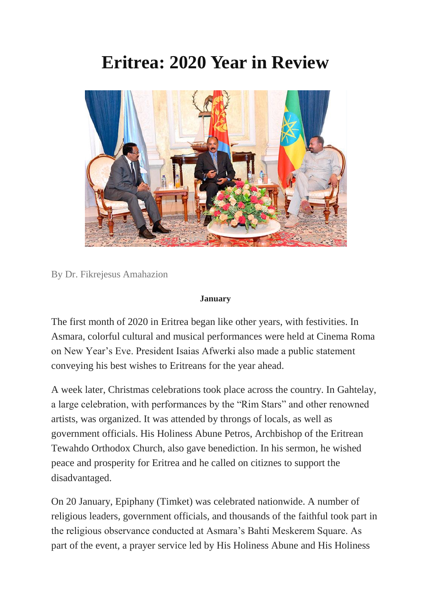# **Eritrea: 2020 Year in Review**



By Dr. Fikrejesus Amahazion

#### **January**

The first month of 2020 in Eritrea began like other years, with festivities. In Asmara, colorful cultural and musical performances were held at Cinema Roma on New Year's Eve. President Isaias Afwerki also made a public statement conveying his best wishes to Eritreans for the year ahead.

A week later, Christmas celebrations took place across the country. In Gahtelay, a large celebration, with performances by the "Rim Stars" and other renowned artists, was organized. It was attended by throngs of locals, as well as government officials. His Holiness Abune Petros, Archbishop of the Eritrean Tewahdo Orthodox Church, also gave benediction. In his sermon, he wished peace and prosperity for Eritrea and he called on citiznes to support the disadvantaged.

On 20 January, Epiphany (Timket) was celebrated nationwide. A number of religious leaders, government officials, and thousands of the faithful took part in the religious observance conducted at Asmara's Bahti Meskerem Square. As part of the event, a prayer service led by His Holiness Abune and His Holiness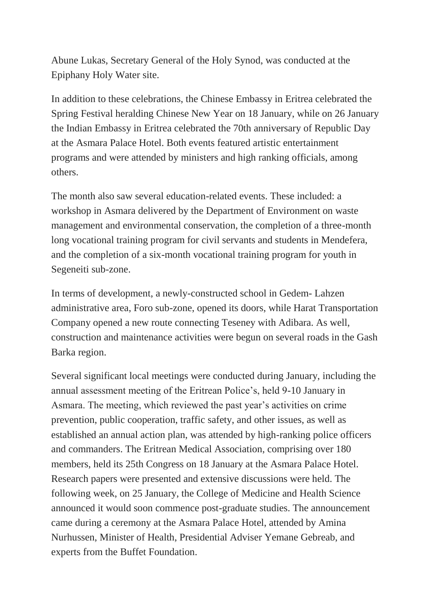Abune Lukas, Secretary General of the Holy Synod, was conducted at the Epiphany Holy Water site.

In addition to these celebrations, the Chinese Embassy in Eritrea celebrated the Spring Festival heralding Chinese New Year on 18 January, while on 26 January the Indian Embassy in Eritrea celebrated the 70th anniversary of Republic Day at the Asmara Palace Hotel. Both events featured artistic entertainment programs and were attended by ministers and high ranking officials, among others.

The month also saw several education-related events. These included: a workshop in Asmara delivered by the Department of Environment on waste management and environmental conservation, the completion of a three-month long vocational training program for civil servants and students in Mendefera, and the completion of a six-month vocational training program for youth in Segeneiti sub-zone.

In terms of development, a newly-constructed school in Gedem- Lahzen administrative area, Foro sub-zone, opened its doors, while Harat Transportation Company opened a new route connecting Teseney with Adibara. As well, construction and maintenance activities were begun on several roads in the Gash Barka region.

Several significant local meetings were conducted during January, including the annual assessment meeting of the Eritrean Police's, held 9-10 January in Asmara. The meeting, which reviewed the past year's activities on crime prevention, public cooperation, traffic safety, and other issues, as well as established an annual action plan, was attended by high-ranking police officers and commanders. The Eritrean Medical Association, comprising over 180 members, held its 25th Congress on 18 January at the Asmara Palace Hotel. Research papers were presented and extensive discussions were held. The following week, on 25 January, the College of Medicine and Health Science announced it would soon commence post-graduate studies. The announcement came during a ceremony at the Asmara Palace Hotel, attended by Amina Nurhussen, Minister of Health, Presidential Adviser Yemane Gebreab, and experts from the Buffet Foundation.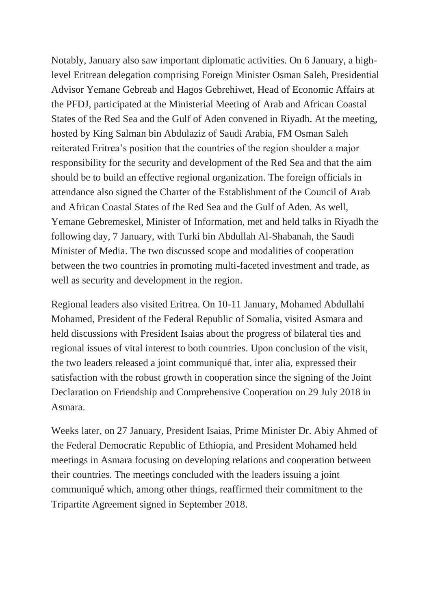Notably, January also saw important diplomatic activities. On 6 January, a highlevel Eritrean delegation comprising Foreign Minister Osman Saleh, Presidential Advisor Yemane Gebreab and Hagos Gebrehiwet, Head of Economic Affairs at the PFDJ, participated at the Ministerial Meeting of Arab and African Coastal States of the Red Sea and the Gulf of Aden convened in Riyadh. At the meeting, hosted by King Salman bin Abdulaziz of Saudi Arabia, FM Osman Saleh reiterated Eritrea's position that the countries of the region shoulder a major responsibility for the security and development of the Red Sea and that the aim should be to build an effective regional organization. The foreign officials in attendance also signed the Charter of the Establishment of the Council of Arab and African Coastal States of the Red Sea and the Gulf of Aden. As well, Yemane Gebremeskel, Minister of Information, met and held talks in Riyadh the following day, 7 January, with Turki bin Abdullah Al-Shabanah, the Saudi Minister of Media. The two discussed scope and modalities of cooperation between the two countries in promoting multi-faceted investment and trade, as well as security and development in the region.

Regional leaders also visited Eritrea. On 10-11 January, Mohamed Abdullahi Mohamed, President of the Federal Republic of Somalia, visited Asmara and held discussions with President Isaias about the progress of bilateral ties and regional issues of vital interest to both countries. Upon conclusion of the visit, the two leaders released a joint communiqué that, inter alia, expressed their satisfaction with the robust growth in cooperation since the signing of the Joint Declaration on Friendship and Comprehensive Cooperation on 29 July 2018 in Asmara.

Weeks later, on 27 January, President Isaias, Prime Minister Dr. Abiy Ahmed of the Federal Democratic Republic of Ethiopia, and President Mohamed held meetings in Asmara focusing on developing relations and cooperation between their countries. The meetings concluded with the leaders issuing a joint communiqué which, among other things, reaffirmed their commitment to the Tripartite Agreement signed in September 2018.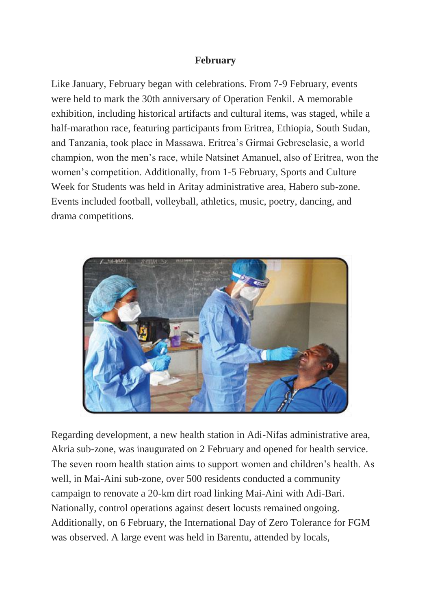# **February**

Like January, February began with celebrations. From 7-9 February, events were held to mark the 30th anniversary of Operation Fenkil. A memorable exhibition, including historical artifacts and cultural items, was staged, while a half-marathon race, featuring participants from Eritrea, Ethiopia, South Sudan, and Tanzania, took place in Massawa. Eritrea's Girmai Gebreselasie, a world champion, won the men's race, while Natsinet Amanuel, also of Eritrea, won the women's competition. Additionally, from 1-5 February, Sports and Culture Week for Students was held in Aritay administrative area, Habero sub-zone. Events included football, volleyball, athletics, music, poetry, dancing, and drama competitions.



Regarding development, a new health station in Adi-Nifas administrative area, Akria sub-zone, was inaugurated on 2 February and opened for health service. The seven room health station aims to support women and children's health. As well, in Mai-Aini sub-zone, over 500 residents conducted a community campaign to renovate a 20-km dirt road linking Mai-Aini with Adi-Bari. Nationally, control operations against desert locusts remained ongoing. Additionally, on 6 February, the International Day of Zero Tolerance for FGM was observed. A large event was held in Barentu, attended by locals,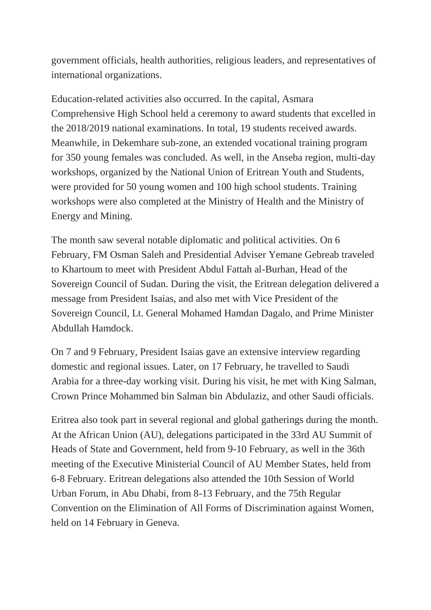government officials, health authorities, religious leaders, and representatives of international organizations.

Education-related activities also occurred. In the capital, Asmara Comprehensive High School held a ceremony to award students that excelled in the 2018/2019 national examinations. In total, 19 students received awards. Meanwhile, in Dekemhare sub-zone, an extended vocational training program for 350 young females was concluded. As well, in the Anseba region, multi-day workshops, organized by the National Union of Eritrean Youth and Students, were provided for 50 young women and 100 high school students. Training workshops were also completed at the Ministry of Health and the Ministry of Energy and Mining.

The month saw several notable diplomatic and political activities. On 6 February, FM Osman Saleh and Presidential Adviser Yemane Gebreab traveled to Khartoum to meet with President Abdul Fattah al-Burhan, Head of the Sovereign Council of Sudan. During the visit, the Eritrean delegation delivered a message from President Isaias, and also met with Vice President of the Sovereign Council, Lt. General Mohamed Hamdan Dagalo, and Prime Minister Abdullah Hamdock.

On 7 and 9 February, President Isaias gave an extensive interview regarding domestic and regional issues. Later, on 17 February, he travelled to Saudi Arabia for a three-day working visit. During his visit, he met with King Salman, Crown Prince Mohammed bin Salman bin Abdulaziz, and other Saudi officials.

Eritrea also took part in several regional and global gatherings during the month. At the African Union (AU), delegations participated in the 33rd AU Summit of Heads of State and Government, held from 9-10 February, as well in the 36th meeting of the Executive Ministerial Council of AU Member States, held from 6-8 February. Eritrean delegations also attended the 10th Session of World Urban Forum, in Abu Dhabi, from 8-13 February, and the 75th Regular Convention on the Elimination of All Forms of Discrimination against Women, held on 14 February in Geneva.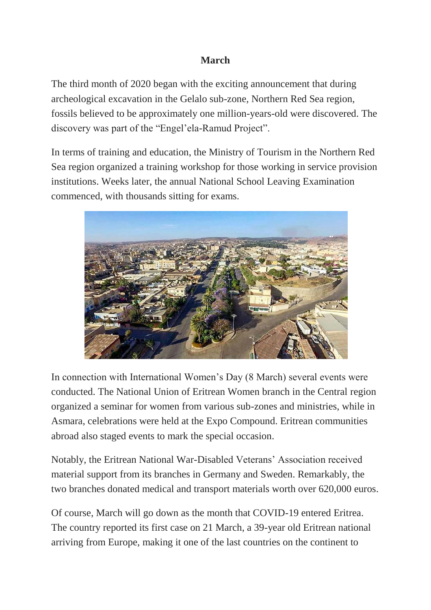# **March**

The third month of 2020 began with the exciting announcement that during archeological excavation in the Gelalo sub-zone, Northern Red Sea region, fossils believed to be approximately one million-years-old were discovered. The discovery was part of the "Engel'ela-Ramud Project".

In terms of training and education, the Ministry of Tourism in the Northern Red Sea region organized a training workshop for those working in service provision institutions. Weeks later, the annual National School Leaving Examination commenced, with thousands sitting for exams.



In connection with International Women's Day (8 March) several events were conducted. The National Union of Eritrean Women branch in the Central region organized a seminar for women from various sub-zones and ministries, while in Asmara, celebrations were held at the Expo Compound. Eritrean communities abroad also staged events to mark the special occasion.

Notably, the Eritrean National War-Disabled Veterans' Association received material support from its branches in Germany and Sweden. Remarkably, the two branches donated medical and transport materials worth over 620,000 euros.

Of course, March will go down as the month that COVID-19 entered Eritrea. The country reported its first case on 21 March, a 39-year old Eritrean national arriving from Europe, making it one of the last countries on the continent to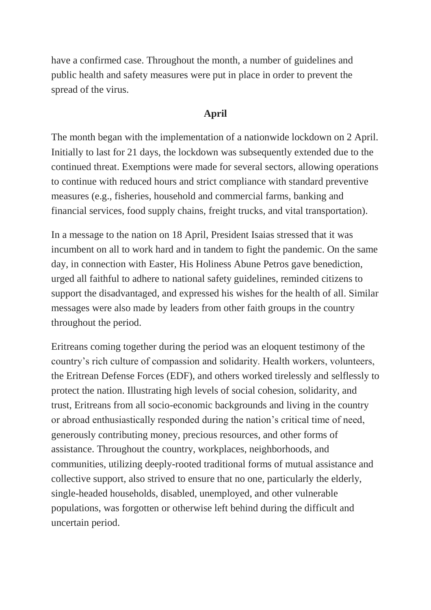have a confirmed case. Throughout the month, a number of guidelines and public health and safety measures were put in place in order to prevent the spread of the virus.

# **April**

The month began with the implementation of a nationwide lockdown on 2 April. Initially to last for 21 days, the lockdown was subsequently extended due to the continued threat. Exemptions were made for several sectors, allowing operations to continue with reduced hours and strict compliance with standard preventive measures (e.g., fisheries, household and commercial farms, banking and financial services, food supply chains, freight trucks, and vital transportation).

In a message to the nation on 18 April, President Isaias stressed that it was incumbent on all to work hard and in tandem to fight the pandemic. On the same day, in connection with Easter, His Holiness Abune Petros gave benediction, urged all faithful to adhere to national safety guidelines, reminded citizens to support the disadvantaged, and expressed his wishes for the health of all. Similar messages were also made by leaders from other faith groups in the country throughout the period.

Eritreans coming together during the period was an eloquent testimony of the country's rich culture of compassion and solidarity. Health workers, volunteers, the Eritrean Defense Forces (EDF), and others worked tirelessly and selflessly to protect the nation. Illustrating high levels of social cohesion, solidarity, and trust, Eritreans from all socio-economic backgrounds and living in the country or abroad enthusiastically responded during the nation's critical time of need, generously contributing money, precious resources, and other forms of assistance. Throughout the country, workplaces, neighborhoods, and communities, utilizing deeply-rooted traditional forms of mutual assistance and collective support, also strived to ensure that no one, particularly the elderly, single-headed households, disabled, unemployed, and other vulnerable populations, was forgotten or otherwise left behind during the difficult and uncertain period.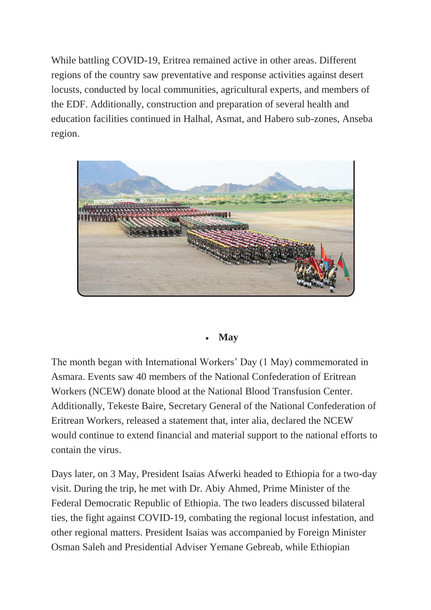While battling COVID-19, Eritrea remained active in other areas. Different regions of the country saw preventative and response activities against desert locusts, conducted by local communities, agricultural experts, and members of the EDF. Additionally, construction and preparation of several health and education facilities continued in Halhal, Asmat, and Habero sub-zones, Anseba region.



# **May**

The month began with International Workers' Day (1 May) commemorated in Asmara. Events saw 40 members of the National Confederation of Eritrean Workers (NCEW) donate blood at the National Blood Transfusion Center. Additionally, Tekeste Baire, Secretary General of the National Confederation of Eritrean Workers, released a statement that, inter alia, declared the NCEW would continue to extend financial and material support to the national efforts to contain the virus.

Days later, on 3 May, President Isaias Afwerki headed to Ethiopia for a two-day visit. During the trip, he met with Dr. Abiy Ahmed, Prime Minister of the Federal Democratic Republic of Ethiopia. The two leaders discussed bilateral ties, the fight against COVID-19, combating the regional locust infestation, and other regional matters. President Isaias was accompanied by Foreign Minister Osman Saleh and Presidential Adviser Yemane Gebreab, while Ethiopian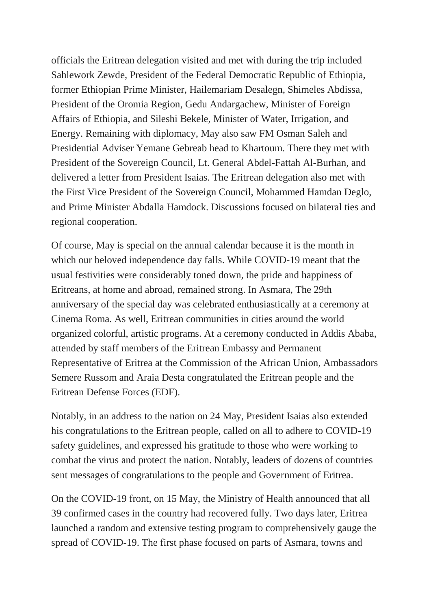officials the Eritrean delegation visited and met with during the trip included Sahlework Zewde, President of the Federal Democratic Republic of Ethiopia, former Ethiopian Prime Minister, Hailemariam Desalegn, Shimeles Abdissa, President of the Oromia Region, Gedu Andargachew, Minister of Foreign Affairs of Ethiopia, and Sileshi Bekele, Minister of Water, Irrigation, and Energy. Remaining with diplomacy, May also saw FM Osman Saleh and Presidential Adviser Yemane Gebreab head to Khartoum. There they met with President of the Sovereign Council, Lt. General Abdel-Fattah Al-Burhan, and delivered a letter from President Isaias. The Eritrean delegation also met with the First Vice President of the Sovereign Council, Mohammed Hamdan Deglo, and Prime Minister Abdalla Hamdock. Discussions focused on bilateral ties and regional cooperation.

Of course, May is special on the annual calendar because it is the month in which our beloved independence day falls. While COVID-19 meant that the usual festivities were considerably toned down, the pride and happiness of Eritreans, at home and abroad, remained strong. In Asmara, The 29th anniversary of the special day was celebrated enthusiastically at a ceremony at Cinema Roma. As well, Eritrean communities in cities around the world organized colorful, artistic programs. At a ceremony conducted in Addis Ababa, attended by staff members of the Eritrean Embassy and Permanent Representative of Eritrea at the Commission of the African Union, Ambassadors Semere Russom and Araia Desta congratulated the Eritrean people and the Eritrean Defense Forces (EDF).

Notably, in an address to the nation on 24 May, President Isaias also extended his congratulations to the Eritrean people, called on all to adhere to COVID-19 safety guidelines, and expressed his gratitude to those who were working to combat the virus and protect the nation. Notably, leaders of dozens of countries sent messages of congratulations to the people and Government of Eritrea.

On the COVID-19 front, on 15 May, the Ministry of Health announced that all 39 confirmed cases in the country had recovered fully. Two days later, Eritrea launched a random and extensive testing program to comprehensively gauge the spread of COVID-19. The first phase focused on parts of Asmara, towns and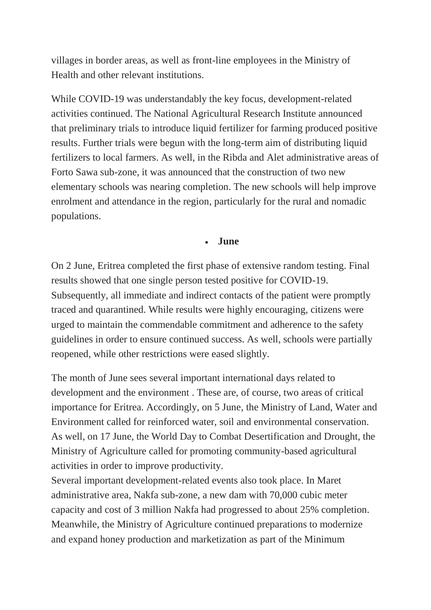villages in border areas, as well as front-line employees in the Ministry of Health and other relevant institutions.

While COVID-19 was understandably the key focus, development-related activities continued. The National Agricultural Research Institute announced that preliminary trials to introduce liquid fertilizer for farming produced positive results. Further trials were begun with the long-term aim of distributing liquid fertilizers to local farmers. As well, in the Ribda and Alet administrative areas of Forto Sawa sub-zone, it was announced that the construction of two new elementary schools was nearing completion. The new schools will help improve enrolment and attendance in the region, particularly for the rural and nomadic populations.

#### **June**

On 2 June, Eritrea completed the first phase of extensive random testing. Final results showed that one single person tested positive for COVID-19. Subsequently, all immediate and indirect contacts of the patient were promptly traced and quarantined. While results were highly encouraging, citizens were urged to maintain the commendable commitment and adherence to the safety guidelines in order to ensure continued success. As well, schools were partially reopened, while other restrictions were eased slightly.

The month of June sees several important international days related to development and the environment . These are, of course, two areas of critical importance for Eritrea. Accordingly, on 5 June, the Ministry of Land, Water and Environment called for reinforced water, soil and environmental conservation. As well, on 17 June, the World Day to Combat Desertification and Drought, the Ministry of Agriculture called for promoting community-based agricultural activities in order to improve productivity.

Several important development-related events also took place. In Maret administrative area, Nakfa sub-zone, a new dam with 70,000 cubic meter capacity and cost of 3 million Nakfa had progressed to about 25% completion. Meanwhile, the Ministry of Agriculture continued preparations to modernize and expand honey production and marketization as part of the Minimum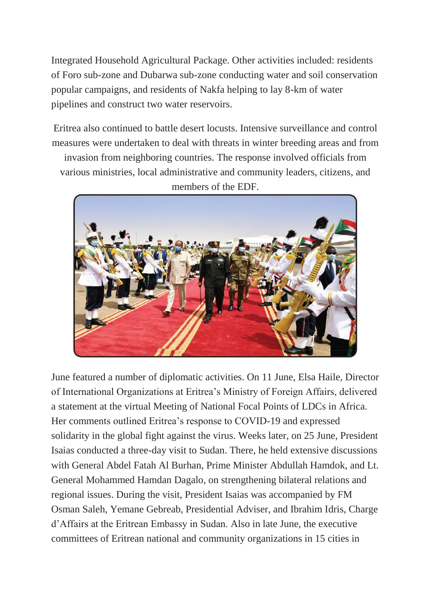Integrated Household Agricultural Package. Other activities included: residents of Foro sub-zone and Dubarwa sub-zone conducting water and soil conservation popular campaigns, and residents of Nakfa helping to lay 8-km of water pipelines and construct two water reservoirs.

Eritrea also continued to battle desert locusts. Intensive surveillance and control measures were undertaken to deal with threats in winter breeding areas and from invasion from neighboring countries. The response involved officials from various ministries, local administrative and community leaders, citizens, and members of the EDF.



June featured a number of diplomatic activities. On 11 June, Elsa Haile, Director of International Organizations at Eritrea's Ministry of Foreign Affairs, delivered a statement at the virtual Meeting of National Focal Points of LDCs in Africa. Her comments outlined Eritrea's response to COVID-19 and expressed solidarity in the global fight against the virus. Weeks later, on 25 June, President Isaias conducted a three-day visit to Sudan. There, he held extensive discussions with General Abdel Fatah Al Burhan, Prime Minister Abdullah Hamdok, and Lt. General Mohammed Hamdan Dagalo, on strengthening bilateral relations and regional issues. During the visit, President Isaias was accompanied by FM Osman Saleh, Yemane Gebreab, Presidential Adviser, and Ibrahim Idris, Charge d'Affairs at the Eritrean Embassy in Sudan. Also in late June, the executive committees of Eritrean national and community organizations in 15 cities in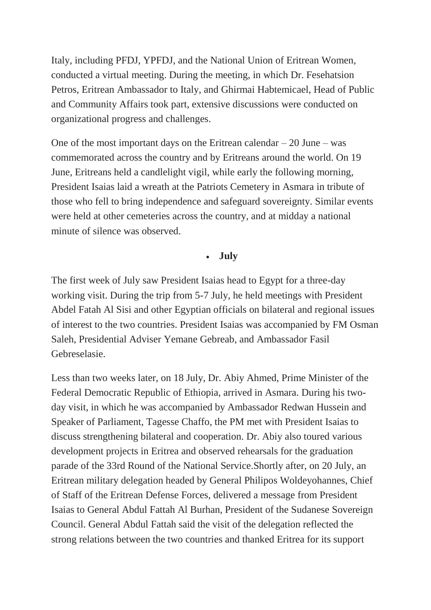Italy, including PFDJ, YPFDJ, and the National Union of Eritrean Women, conducted a virtual meeting. During the meeting, in which Dr. Fesehatsion Petros, Eritrean Ambassador to Italy, and Ghirmai Habtemicael, Head of Public and Community Affairs took part, extensive discussions were conducted on organizational progress and challenges.

One of the most important days on the Eritrean calendar  $-20$  June – was commemorated across the country and by Eritreans around the world. On 19 June, Eritreans held a candlelight vigil, while early the following morning, President Isaias laid a wreath at the Patriots Cemetery in Asmara in tribute of those who fell to bring independence and safeguard sovereignty. Similar events were held at other cemeteries across the country, and at midday a national minute of silence was observed.

# **July**

The first week of July saw President Isaias head to Egypt for a three-day working visit. During the trip from 5-7 July, he held meetings with President Abdel Fatah Al Sisi and other Egyptian officials on bilateral and regional issues of interest to the two countries. President Isaias was accompanied by FM Osman Saleh, Presidential Adviser Yemane Gebreab, and Ambassador Fasil Gebreselasie.

Less than two weeks later, on 18 July, Dr. Abiy Ahmed, Prime Minister of the Federal Democratic Republic of Ethiopia, arrived in Asmara. During his twoday visit, in which he was accompanied by Ambassador Redwan Hussein and Speaker of Parliament, Tagesse Chaffo, the PM met with President Isaias to discuss strengthening bilateral and cooperation. Dr. Abiy also toured various development projects in Eritrea and observed rehearsals for the graduation parade of the 33rd Round of the National Service.Shortly after, on 20 July, an Eritrean military delegation headed by General Philipos Woldeyohannes, Chief of Staff of the Eritrean Defense Forces, delivered a message from President Isaias to General Abdul Fattah Al Burhan, President of the Sudanese Sovereign Council. General Abdul Fattah said the visit of the delegation reflected the strong relations between the two countries and thanked Eritrea for its support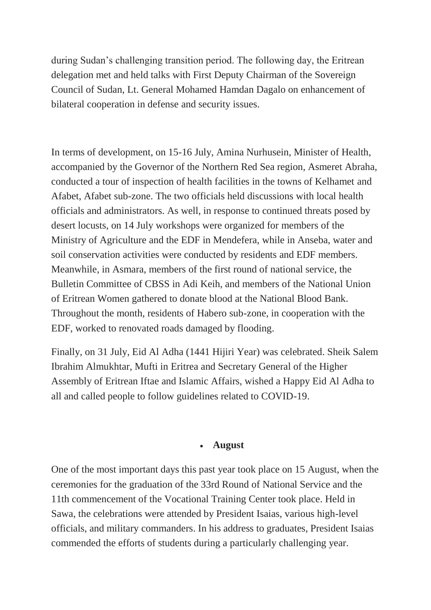during Sudan's challenging transition period. The following day, the Eritrean delegation met and held talks with First Deputy Chairman of the Sovereign Council of Sudan, Lt. General Mohamed Hamdan Dagalo on enhancement of bilateral cooperation in defense and security issues.

In terms of development, on 15-16 July, Amina Nurhusein, Minister of Health, accompanied by the Governor of the Northern Red Sea region, Asmeret Abraha, conducted a tour of inspection of health facilities in the towns of Kelhamet and Afabet, Afabet sub-zone. The two officials held discussions with local health officials and administrators. As well, in response to continued threats posed by desert locusts, on 14 July workshops were organized for members of the Ministry of Agriculture and the EDF in Mendefera, while in Anseba, water and soil conservation activities were conducted by residents and EDF members. Meanwhile, in Asmara, members of the first round of national service, the Bulletin Committee of CBSS in Adi Keih, and members of the National Union of Eritrean Women gathered to donate blood at the National Blood Bank. Throughout the month, residents of Habero sub-zone, in cooperation with the EDF, worked to renovated roads damaged by flooding.

Finally, on 31 July, Eid Al Adha (1441 Hijiri Year) was celebrated. Sheik Salem Ibrahim Almukhtar, Mufti in Eritrea and Secretary General of the Higher Assembly of Eritrean Iftae and Islamic Affairs, wished a Happy Eid Al Adha to all and called people to follow guidelines related to COVID-19.

#### **August**

One of the most important days this past year took place on 15 August, when the ceremonies for the graduation of the 33rd Round of National Service and the 11th commencement of the Vocational Training Center took place. Held in Sawa, the celebrations were attended by President Isaias, various high-level officials, and military commanders. In his address to graduates, President Isaias commended the efforts of students during a particularly challenging year.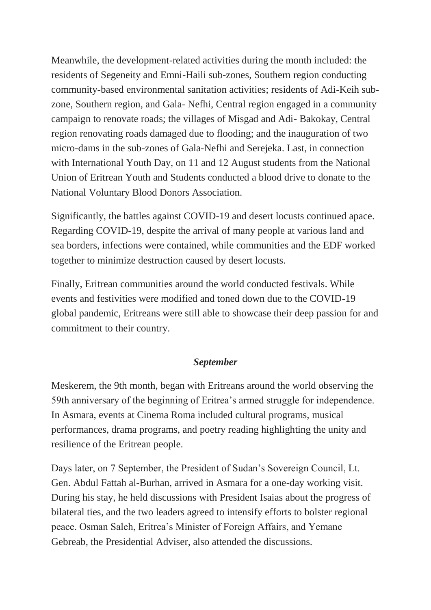Meanwhile, the development-related activities during the month included: the residents of Segeneity and Emni-Haili sub-zones, Southern region conducting community-based environmental sanitation activities; residents of Adi-Keih subzone, Southern region, and Gala- Nefhi, Central region engaged in a community campaign to renovate roads; the villages of Misgad and Adi- Bakokay, Central region renovating roads damaged due to flooding; and the inauguration of two micro-dams in the sub-zones of Gala-Nefhi and Serejeka. Last, in connection with International Youth Day, on 11 and 12 August students from the National Union of Eritrean Youth and Students conducted a blood drive to donate to the National Voluntary Blood Donors Association.

Significantly, the battles against COVID-19 and desert locusts continued apace. Regarding COVID-19, despite the arrival of many people at various land and sea borders, infections were contained, while communities and the EDF worked together to minimize destruction caused by desert locusts.

Finally, Eritrean communities around the world conducted festivals. While events and festivities were modified and toned down due to the COVID-19 global pandemic, Eritreans were still able to showcase their deep passion for and commitment to their country.

# *September*

Meskerem, the 9th month, began with Eritreans around the world observing the 59th anniversary of the beginning of Eritrea's armed struggle for independence. In Asmara, events at Cinema Roma included cultural programs, musical performances, drama programs, and poetry reading highlighting the unity and resilience of the Eritrean people.

Days later, on 7 September, the President of Sudan's Sovereign Council, Lt. Gen. Abdul Fattah al-Burhan, arrived in Asmara for a one-day working visit. During his stay, he held discussions with President Isaias about the progress of bilateral ties, and the two leaders agreed to intensify efforts to bolster regional peace. Osman Saleh, Eritrea's Minister of Foreign Affairs, and Yemane Gebreab, the Presidential Adviser, also attended the discussions.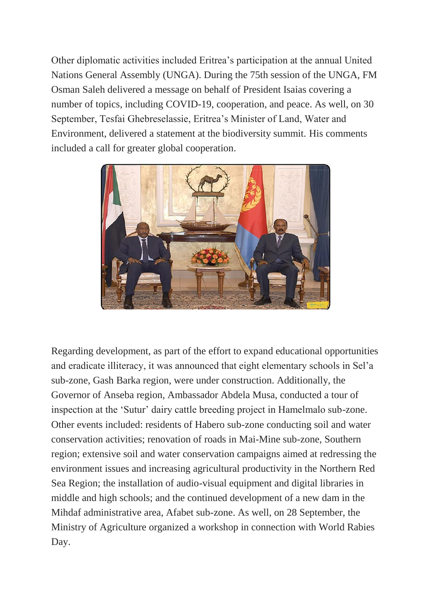Other diplomatic activities included Eritrea's participation at the annual United Nations General Assembly (UNGA). During the 75th session of the UNGA, FM Osman Saleh delivered a message on behalf of President Isaias covering a number of topics, including COVID-19, cooperation, and peace. As well, on 30 September, Tesfai Ghebreselassie, Eritrea's Minister of Land, Water and Environment, delivered a statement at the biodiversity summit. His comments included a call for greater global cooperation.



Regarding development, as part of the effort to expand educational opportunities and eradicate illiteracy, it was announced that eight elementary schools in Sel'a sub-zone, Gash Barka region, were under construction. Additionally, the Governor of Anseba region, Ambassador Abdela Musa, conducted a tour of inspection at the 'Sutur' dairy cattle breeding project in Hamelmalo sub-zone. Other events included: residents of Habero sub-zone conducting soil and water conservation activities; renovation of roads in Mai-Mine sub-zone, Southern region; extensive soil and water conservation campaigns aimed at redressing the environment issues and increasing agricultural productivity in the Northern Red Sea Region; the installation of audio-visual equipment and digital libraries in middle and high schools; and the continued development of a new dam in the Mihdaf administrative area, Afabet sub-zone. As well, on 28 September, the Ministry of Agriculture organized a workshop in connection with World Rabies Day.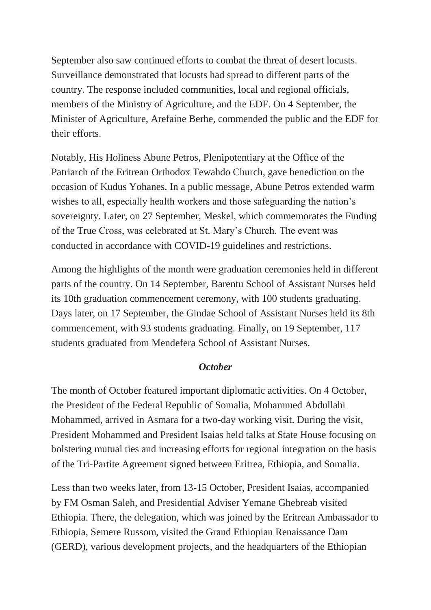September also saw continued efforts to combat the threat of desert locusts. Surveillance demonstrated that locusts had spread to different parts of the country. The response included communities, local and regional officials, members of the Ministry of Agriculture, and the EDF. On 4 September, the Minister of Agriculture, Arefaine Berhe, commended the public and the EDF for their efforts.

Notably, His Holiness Abune Petros, Plenipotentiary at the Office of the Patriarch of the Eritrean Orthodox Tewahdo Church, gave benediction on the occasion of Kudus Yohanes. In a public message, Abune Petros extended warm wishes to all, especially health workers and those safeguarding the nation's sovereignty. Later, on 27 September, Meskel, which commemorates the Finding of the True Cross, was celebrated at St. Mary's Church. The event was conducted in accordance with COVID-19 guidelines and restrictions.

Among the highlights of the month were graduation ceremonies held in different parts of the country. On 14 September, Barentu School of Assistant Nurses held its 10th graduation commencement ceremony, with 100 students graduating. Days later, on 17 September, the Gindae School of Assistant Nurses held its 8th commencement, with 93 students graduating. Finally, on 19 September, 117 students graduated from Mendefera School of Assistant Nurses.

# *October*

The month of October featured important diplomatic activities. On 4 October, the President of the Federal Republic of Somalia, Mohammed Abdullahi Mohammed, arrived in Asmara for a two-day working visit. During the visit, President Mohammed and President Isaias held talks at State House focusing on bolstering mutual ties and increasing efforts for regional integration on the basis of the Tri-Partite Agreement signed between Eritrea, Ethiopia, and Somalia.

Less than two weeks later, from 13-15 October, President Isaias, accompanied by FM Osman Saleh, and Presidential Adviser Yemane Ghebreab visited Ethiopia. There, the delegation, which was joined by the Eritrean Ambassador to Ethiopia, Semere Russom, visited the Grand Ethiopian Renaissance Dam (GERD), various development projects, and the headquarters of the Ethiopian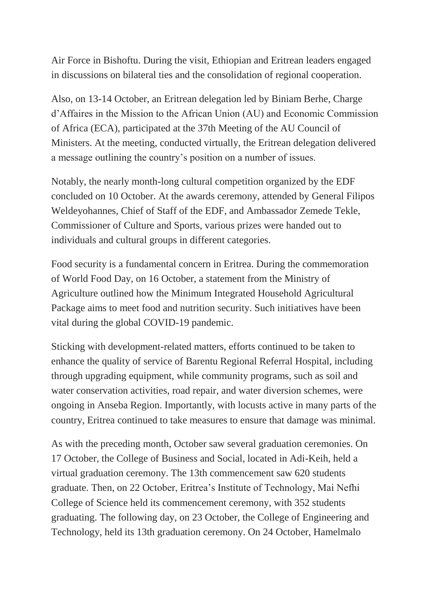Air Force in Bishoftu. During the visit, Ethiopian and Eritrean leaders engaged in discussions on bilateral ties and the consolidation of regional cooperation.

Also, on 13-14 October, an Eritrean delegation led by Biniam Berhe, Charge d'Affaires in the Mission to the African Union (AU) and Economic Commission of Africa (ECA), participated at the 37th Meeting of the AU Council of Ministers. At the meeting, conducted virtually, the Eritrean delegation delivered a message outlining the country's position on a number of issues.

Notably, the nearly month-long cultural competition organized by the EDF concluded on 10 October. At the awards ceremony, attended by General Filipos Weldeyohannes, Chief of Staff of the EDF, and Ambassador Zemede Tekle, Commissioner of Culture and Sports, various prizes were handed out to individuals and cultural groups in different categories.

Food security is a fundamental concern in Eritrea. During the commemoration of World Food Day, on 16 October, a statement from the Ministry of Agriculture outlined how the Minimum Integrated Household Agricultural Package aims to meet food and nutrition security. Such initiatives have been vital during the global COVID-19 pandemic.

Sticking with development-related matters, efforts continued to be taken to enhance the quality of service of Barentu Regional Referral Hospital, including through upgrading equipment, while community programs, such as soil and water conservation activities, road repair, and water diversion schemes, were ongoing in Anseba Region. Importantly, with locusts active in many parts of the country, Eritrea continued to take measures to ensure that damage was minimal.

As with the preceding month, October saw several graduation ceremonies. On 17 October, the College of Business and Social, located in Adi-Keih, held a virtual graduation ceremony. The 13th commencement saw 620 students graduate. Then, on 22 October, Eritrea's Institute of Technology, Mai Nefhi College of Science held its commencement ceremony, with 352 students graduating. The following day, on 23 October, the College of Engineering and Technology, held its 13th graduation ceremony. On 24 October, Hamelmalo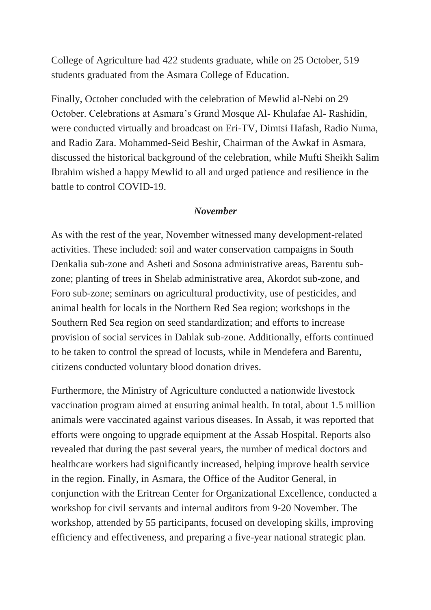College of Agriculture had 422 students graduate, while on 25 October, 519 students graduated from the Asmara College of Education.

Finally, October concluded with the celebration of Mewlid al-Nebi on 29 October. Celebrations at Asmara's Grand Mosque Al- Khulafae Al- Rashidin, were conducted virtually and broadcast on Eri-TV, Dimtsi Hafash, Radio Numa, and Radio Zara. Mohammed-Seid Beshir, Chairman of the Awkaf in Asmara, discussed the historical background of the celebration, while Mufti Sheikh Salim Ibrahim wished a happy Mewlid to all and urged patience and resilience in the battle to control COVID-19.

# *November*

As with the rest of the year, November witnessed many development-related activities. These included: soil and water conservation campaigns in South Denkalia sub-zone and Asheti and Sosona administrative areas, Barentu subzone; planting of trees in Shelab administrative area, Akordot sub-zone, and Foro sub-zone; seminars on agricultural productivity, use of pesticides, and animal health for locals in the Northern Red Sea region; workshops in the Southern Red Sea region on seed standardization; and efforts to increase provision of social services in Dahlak sub-zone. Additionally, efforts continued to be taken to control the spread of locusts, while in Mendefera and Barentu, citizens conducted voluntary blood donation drives.

Furthermore, the Ministry of Agriculture conducted a nationwide livestock vaccination program aimed at ensuring animal health. In total, about 1.5 million animals were vaccinated against various diseases. In Assab, it was reported that efforts were ongoing to upgrade equipment at the Assab Hospital. Reports also revealed that during the past several years, the number of medical doctors and healthcare workers had significantly increased, helping improve health service in the region. Finally, in Asmara, the Office of the Auditor General, in conjunction with the Eritrean Center for Organizational Excellence, conducted a workshop for civil servants and internal auditors from 9-20 November. The workshop, attended by 55 participants, focused on developing skills, improving efficiency and effectiveness, and preparing a five-year national strategic plan.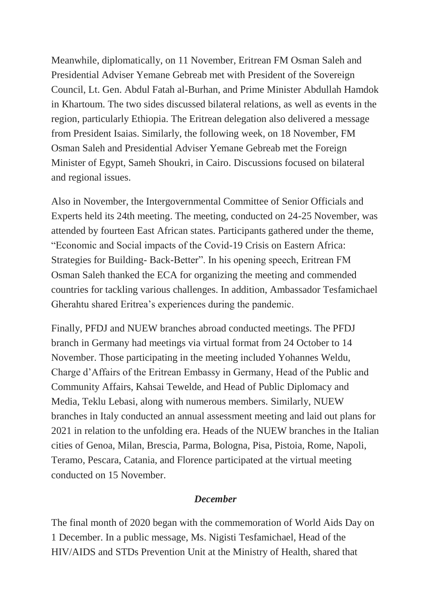Meanwhile, diplomatically, on 11 November, Eritrean FM Osman Saleh and Presidential Adviser Yemane Gebreab met with President of the Sovereign Council, Lt. Gen. Abdul Fatah al-Burhan, and Prime Minister Abdullah Hamdok in Khartoum. The two sides discussed bilateral relations, as well as events in the region, particularly Ethiopia. The Eritrean delegation also delivered a message from President Isaias. Similarly, the following week, on 18 November, FM Osman Saleh and Presidential Adviser Yemane Gebreab met the Foreign Minister of Egypt, Sameh Shoukri, in Cairo. Discussions focused on bilateral and regional issues.

Also in November, the Intergovernmental Committee of Senior Officials and Experts held its 24th meeting. The meeting, conducted on 24-25 November, was attended by fourteen East African states. Participants gathered under the theme, "Economic and Social impacts of the Covid-19 Crisis on Eastern Africa: Strategies for Building- Back-Better". In his opening speech, Eritrean FM Osman Saleh thanked the ECA for organizing the meeting and commended countries for tackling various challenges. In addition, Ambassador Tesfamichael Gherahtu shared Eritrea's experiences during the pandemic.

Finally, PFDJ and NUEW branches abroad conducted meetings. The PFDJ branch in Germany had meetings via virtual format from 24 October to 14 November. Those participating in the meeting included Yohannes Weldu, Charge d'Affairs of the Eritrean Embassy in Germany, Head of the Public and Community Affairs, Kahsai Tewelde, and Head of Public Diplomacy and Media, Teklu Lebasi, along with numerous members. Similarly, NUEW branches in Italy conducted an annual assessment meeting and laid out plans for 2021 in relation to the unfolding era. Heads of the NUEW branches in the Italian cities of Genoa, Milan, Brescia, Parma, Bologna, Pisa, Pistoia, Rome, Napoli, Teramo, Pescara, Catania, and Florence participated at the virtual meeting conducted on 15 November.

# *December*

The final month of 2020 began with the commemoration of World Aids Day on 1 December. In a public message, Ms. Nigisti Tesfamichael, Head of the HIV/AIDS and STDs Prevention Unit at the Ministry of Health, shared that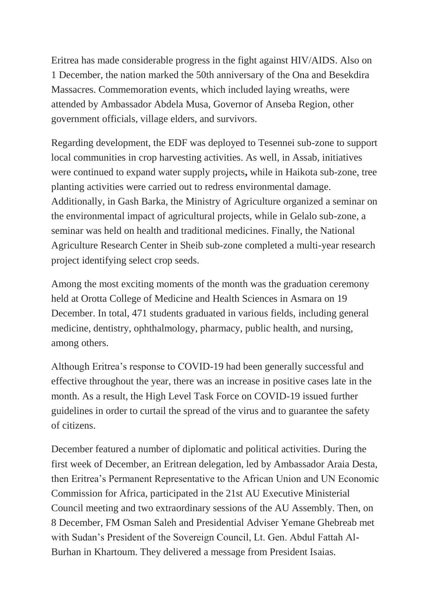Eritrea has made considerable progress in the fight against HIV/AIDS. Also on 1 December, the nation marked the 50th anniversary of the Ona and Besekdira Massacres. Commemoration events, which included laying wreaths, were attended by Ambassador Abdela Musa, Governor of Anseba Region, other government officials, village elders, and survivors.

Regarding development, the EDF was deployed to Tesennei sub-zone to support local communities in crop harvesting activities. As well, in Assab, initiatives were continued to expand water supply projects**,** while in Haikota sub-zone, tree planting activities were carried out to redress environmental damage. Additionally, in Gash Barka, the Ministry of Agriculture organized a seminar on the environmental impact of agricultural projects, while in Gelalo sub-zone, a seminar was held on health and traditional medicines. Finally, the National Agriculture Research Center in Sheib sub-zone completed a multi-year research project identifying select crop seeds.

Among the most exciting moments of the month was the graduation ceremony held at Orotta College of Medicine and Health Sciences in Asmara on 19 December. In total, 471 students graduated in various fields, including general medicine, dentistry, ophthalmology, pharmacy, public health, and nursing, among others.

Although Eritrea's response to COVID-19 had been generally successful and effective throughout the year, there was an increase in positive cases late in the month. As a result, the High Level Task Force on COVID-19 issued further guidelines in order to curtail the spread of the virus and to guarantee the safety of citizens.

December featured a number of diplomatic and political activities. During the first week of December, an Eritrean delegation, led by Ambassador Araia Desta, then Eritrea's Permanent Representative to the African Union and UN Economic Commission for Africa, participated in the 21st AU Executive Ministerial Council meeting and two extraordinary sessions of the AU Assembly. Then, on 8 December, FM Osman Saleh and Presidential Adviser Yemane Ghebreab met with Sudan's President of the Sovereign Council, Lt. Gen. Abdul Fattah Al-Burhan in Khartoum. They delivered a message from President Isaias.